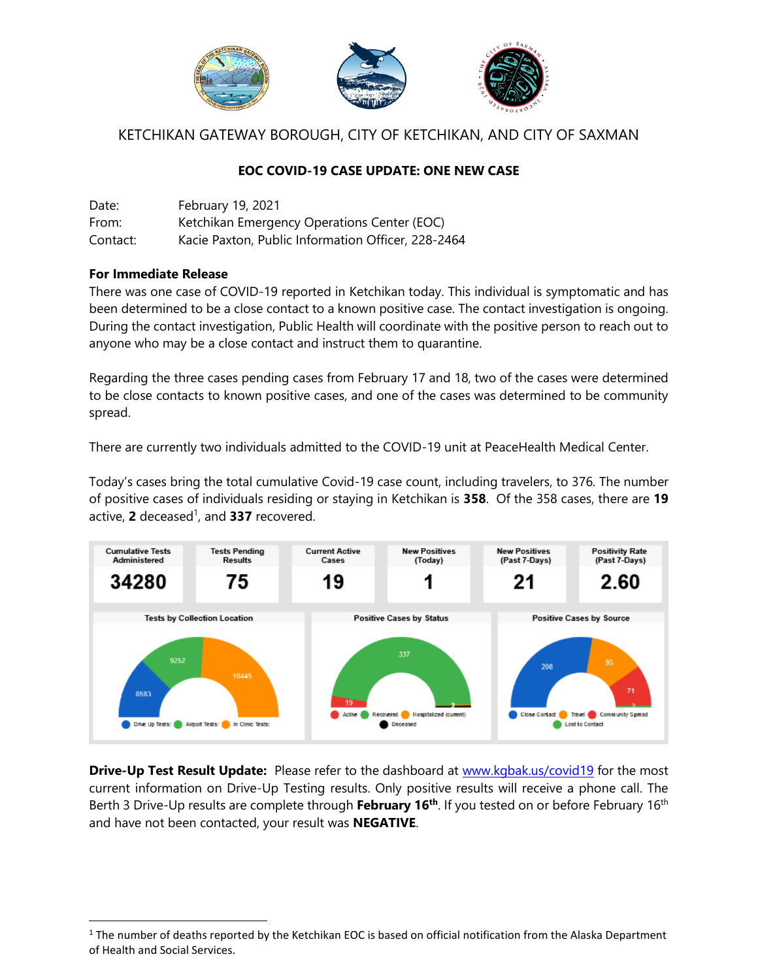

# KETCHIKAN GATEWAY BOROUGH, CITY OF KETCHIKAN, AND CITY OF SAXMAN

# **EOC COVID-19 CASE UPDATE: ONE NEW CASE**

| Date:    | February 19, 2021                                  |
|----------|----------------------------------------------------|
| From:    | Ketchikan Emergency Operations Center (EOC)        |
| Contact: | Kacie Paxton, Public Information Officer, 228-2464 |

## **For Immediate Release**

l

There was one case of COVID-19 reported in Ketchikan today. This individual is symptomatic and has been determined to be a close contact to a known positive case. The contact investigation is ongoing. During the contact investigation, Public Health will coordinate with the positive person to reach out to anyone who may be a close contact and instruct them to quarantine.

Regarding the three cases pending cases from February 17 and 18, two of the cases were determined to be close contacts to known positive cases, and one of the cases was determined to be community spread.

There are currently two individuals admitted to the COVID-19 unit at PeaceHealth Medical Center.

Today's cases bring the total cumulative Covid-19 case count, including travelers, to 376. The number of positive cases of individuals residing or staying in Ketchikan is **358**. Of the 358 cases, there are **19** active, **2** deceased 1 , and **337** recovered.



**Drive-Up Test Result Update:** Please refer to the dashboard at [www.kgbak.us/covid19](http://www.kgbak.us/covid19) for the most current information on Drive-Up Testing results. Only positive results will receive a phone call. The Berth 3 Drive-Up results are complete through **February 16<sup>th</sup>**. If you tested on or before February 16<sup>th</sup> and have not been contacted, your result was **NEGATIVE**.

 $1$  The number of deaths reported by the Ketchikan EOC is based on official notification from the Alaska Department of Health and Social Services.